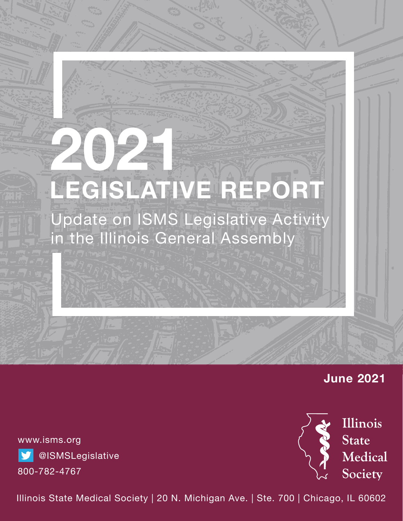# **2021 LEGISLATIVE REPORT**

Update on ISMS Legislative Activity in the Illinois General Assembly

# **June 2021**

www.isms.org **S** @ISMSLegislative 800-782-4767



Illinois State Medical Society | 20 N. Michigan Ave. | Ste. 700 | Chicago, IL 60602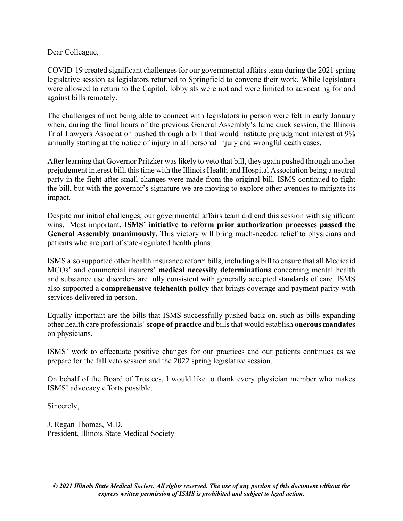Dear Colleague,

COVID-19 created significant challenges for our governmental affairs team during the 2021 spring legislative session as legislators returned to Springfield to convene their work. While legislators were allowed to return to the Capitol, lobbyists were not and were limited to advocating for and against bills remotely.

The challenges of not being able to connect with legislators in person were felt in early January when, during the final hours of the previous General Assembly's lame duck session, the Illinois Trial Lawyers Association pushed through a bill that would institute prejudgment interest at 9% annually starting at the notice of injury in all personal injury and wrongful death cases.

After learning that Governor Pritzker was likely to veto that bill, they again pushed through another prejudgment interest bill, this time with the Illinois Health and Hospital Association being a neutral party in the fight after small changes were made from the original bill. ISMS continued to fight the bill, but with the governor's signature we are moving to explore other avenues to mitigate its impact.

Despite our initial challenges, our governmental affairs team did end this session with significant wins. Most important, **ISMS' initiative to reform prior authorization processes passed the General Assembly unanimously**. This victory will bring much-needed relief to physicians and patients who are part of state-regulated health plans.

ISMS also supported other health insurance reform bills, including a bill to ensure that all Medicaid MCOs' and commercial insurers' **medical necessity determinations** concerning mental health and substance use disorders are fully consistent with generally accepted standards of care. ISMS also supported a **comprehensive telehealth policy** that brings coverage and payment parity with services delivered in person.

Equally important are the bills that ISMS successfully pushed back on, such as bills expanding other health care professionals' **scope of practice** and bills that would establish **onerous mandates** on physicians.

ISMS' work to effectuate positive changes for our practices and our patients continues as we prepare for the fall veto session and the 2022 spring legislative session.

On behalf of the Board of Trustees, I would like to thank every physician member who makes ISMS' advocacy efforts possible.

Sincerely,

J. Regan Thomas, M.D. President, Illinois State Medical Society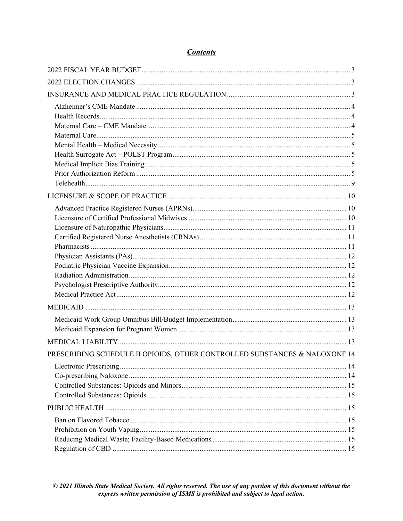| <b>Contents</b> |
|-----------------|
|                 |

| PRESCRIBING SCHEDULE II OPIOIDS, OTHER CONTROLLED SUBSTANCES & NALOXONE 14 |  |
|----------------------------------------------------------------------------|--|
|                                                                            |  |
|                                                                            |  |
|                                                                            |  |
|                                                                            |  |
|                                                                            |  |
|                                                                            |  |
|                                                                            |  |
|                                                                            |  |
|                                                                            |  |

<span id="page-2-0"></span>© 2021 Illinois State Medical Society. All rights reserved. The use of any portion of this document without the<br>express written permission of ISMS is prohibited and subject to legal action.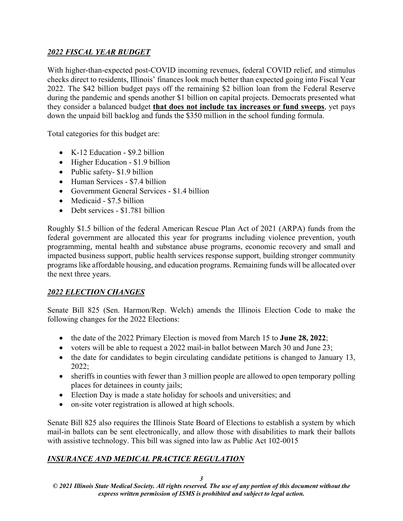# *2022 FISCAL YEAR BUDGET*

With higher-than-expected post-COVID incoming revenues, federal COVID relief, and stimulus checks direct to residents, Illinois' finances look much better than expected going into Fiscal Year 2022. The \$42 billion budget pays off the remaining \$2 billion loan from the Federal Reserve during the pandemic and spends another \$1 billion on capital projects. Democrats presented what they consider a balanced budget **that does not include tax increases or fund sweeps**, yet pays down the unpaid bill backlog and funds the \$350 million in the school funding formula.

Total categories for this budget are:

- K-12 Education \$9.2 billion
- Higher Education \$1.9 billion
- Public safety- \$1.9 billion
- Human Services \$7.4 billion
- Government General Services \$1.4 billion
- Medicaid \$7.5 billion
- Debt services \$1.781 billion

Roughly \$1.5 billion of the federal American Rescue Plan Act of 2021 (ARPA) funds from the federal government are allocated this year for programs including violence prevention, youth programming, mental health and substance abuse programs, economic recovery and small and impacted business support, public health services response support, building stronger community programs like affordable housing, and education programs. Remaining funds will be allocated over the next three years.

# <span id="page-3-0"></span>*2022 ELECTION CHANGES*

Senate Bill 825 (Sen. Harmon/Rep. Welch) amends the Illinois Election Code to make the following changes for the 2022 Elections:

- the date of the 2022 Primary Election is moved from March 15 to **June 28, 2022**;
- voters will be able to request a 2022 mail-in ballot between March 30 and June 23;
- the date for candidates to begin circulating candidate petitions is changed to January 13, 2022;
- sheriffs in counties with fewer than 3 million people are allowed to open temporary polling places for detainees in county jails;
- Election Day is made a state holiday for schools and universities; and
- on-site voter registration is allowed at high schools.

Senate Bill 825 also requires the Illinois State Board of Elections to establish a system by which mail-in ballots can be sent electronically, and allow those with disabilities to mark their ballots with assistive technology. This bill was signed into law as Public Act 102-0015

# <span id="page-3-2"></span><span id="page-3-1"></span>*INSURANCE AND MEDICAL PRACTICE REGULATION*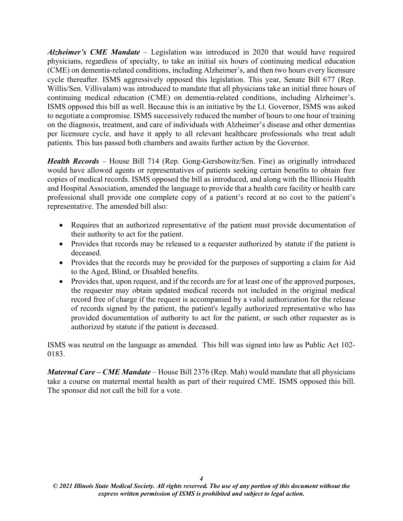*Alzheimer's CME Mandate* – Legislation was introduced in 2020 that would have required physicians, regardless of specialty, to take an initial six hours of continuing medical education (CME) on dementia-related conditions, including Alzheimer's, and then two hours every licensure cycle thereafter. ISMS aggressively opposed this legislation. This year, Senate Bill 677 (Rep. Willis/Sen. Villivalam) was introduced to mandate that all physicians take an initial three hours of continuing medical education (CME) on dementia-related conditions, including Alzheimer's. ISMS opposed this bill as well. Because this is an initiative by the Lt. Governor, ISMS was asked to negotiate a compromise. ISMS successively reduced the number of hours to one hour of training on the diagnosis, treatment, and care of individuals with Alzheimer's disease and other dementias per licensure cycle, and have it apply to all relevant healthcare professionals who treat adult patients. This has passed both chambers and awaits further action by the Governor.

<span id="page-4-0"></span>*Health Records* – House Bill 714 (Rep. Gong-Gershowitz/Sen. Fine) as originally introduced would have allowed agents or representatives of patients seeking certain benefits to obtain free copies of medical records. ISMS opposed the bill as introduced, and along with the Illinois Health and Hospital Association, amended the language to provide that a health care facility or health care professional shall provide one complete copy of a patient's record at no cost to the patient's representative. The amended bill also:

- Requires that an authorized representative of the patient must provide documentation of their authority to act for the patient.
- Provides that records may be released to a requester authorized by statute if the patient is deceased.
- Provides that the records may be provided for the purposes of supporting a claim for Aid to the Aged, Blind, or Disabled benefits.
- Provides that, upon request, and if the records are for at least one of the approved purposes, the requester may obtain updated medical records not included in the original medical record free of charge if the request is accompanied by a valid authorization for the release of records signed by the patient, the patient's legally authorized representative who has provided documentation of authority to act for the patient, or such other requester as is authorized by statute if the patient is deceased.

<span id="page-4-1"></span>ISMS was neutral on the language as amended. This bill was signed into law as Public Act 102- 0183.

*Maternal Care – CME Mandate* – House Bill 2376 (Rep. Mah) would mandate that all physicians take a course on maternal mental health as part of their required CME. ISMS opposed this bill. The sponsor did not call the bill for a vote.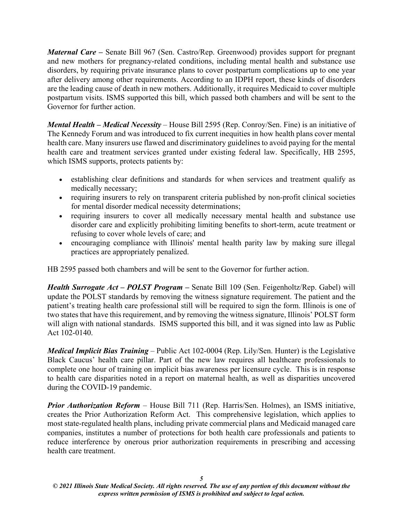<span id="page-5-0"></span>*Maternal Care* – Senate Bill 967 (Sen. Castro/Rep. Greenwood) provides support for pregnant and new mothers for pregnancy-related conditions, including mental health and substance use disorders, by requiring private insurance plans to cover postpartum complications up to one year after delivery among other requirements. According to an IDPH report, these kinds of disorders are the leading cause of death in new mothers. Additionally, it requires Medicaid to cover multiple postpartum visits. ISMS supported this bill, which passed both chambers and will be sent to the Governor for further action.

<span id="page-5-1"></span>*Mental Health – Medical Necessity* – House Bill 2595 (Rep. Conroy/Sen. Fine) is an initiative of The Kennedy Forum and was introduced to fix current inequities in how health plans cover mental health care. Many insurers use flawed and discriminatory guidelines to avoid paying for the mental health care and treatment services granted under existing federal law. Specifically, HB 2595, which ISMS supports, protects patients by:

- establishing clear definitions and standards for when services and treatment qualify as medically necessary;
- requiring insurers to rely on transparent criteria published by non-profit clinical societies for mental disorder medical necessity determinations;
- requiring insurers to cover all medically necessary mental health and substance use disorder care and explicitly prohibiting limiting benefits to short-term, acute treatment or refusing to cover whole levels of care; and
- encouraging compliance with Illinois' mental health parity law by making sure illegal practices are appropriately penalized.

<span id="page-5-2"></span>HB 2595 passed both chambers and will be sent to the Governor for further action.

*Health Surrogate Act – POLST Program –* Senate Bill 109 (Sen. Feigenholtz/Rep. Gabel) will update the POLST standards by removing the witness signature requirement. The patient and the patient's treating health care professional still will be required to sign the form. Illinois is one of two states that have this requirement, and by removing the witness signature, Illinois' POLST form will align with national standards. ISMS supported this bill, and it was signed into law as Public Act 102-0140.

<span id="page-5-3"></span>*Medical Implicit Bias Training* – Public Act 102-0004 (Rep. Lily/Sen. Hunter) is the Legislative Black Caucus' health care pillar. Part of the new law requires all healthcare professionals to complete one hour of training on implicit bias awareness per licensure cycle. This is in response to health care disparities noted in a report on maternal health, as well as disparities uncovered during the COVID-19 pandemic.

<span id="page-5-4"></span>*Prior Authorization Reform* – House Bill 711 (Rep. Harris/Sen. Holmes), an ISMS initiative, creates the Prior Authorization Reform Act. This comprehensive legislation, which applies to most state-regulated health plans, including private commercial plans and Medicaid managed care companies, institutes a number of protections for both health care professionals and patients to reduce interference by onerous prior authorization requirements in prescribing and accessing health care treatment.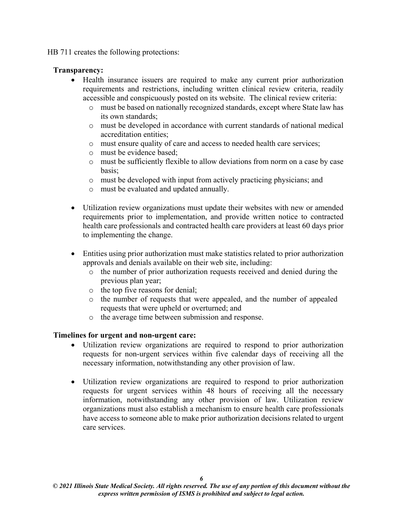HB 711 creates the following protections:

#### **Transparency:**

- Health insurance issuers are required to make any current prior authorization requirements and restrictions, including written clinical review criteria, readily accessible and conspicuously posted on its website. The clinical review criteria:
	- o must be based on nationally recognized standards, except where State law has its own standards;
	- o must be developed in accordance with current standards of national medical accreditation entities;
	- o must ensure quality of care and access to needed health care services;
	- o must be evidence based;
	- o must be sufficiently flexible to allow deviations from norm on a case by case basis;
	- o must be developed with input from actively practicing physicians; and
	- o must be evaluated and updated annually.
- Utilization review organizations must update their websites with new or amended requirements prior to implementation, and provide written notice to contracted health care professionals and contracted health care providers at least 60 days prior to implementing the change.
- Entities using prior authorization must make statistics related to prior authorization approvals and denials available on their web site, including:
	- o the number of prior authorization requests received and denied during the previous plan year;
	- o the top five reasons for denial;
	- o the number of requests that were appealed, and the number of appealed requests that were upheld or overturned; and
	- o the average time between submission and response.

#### **Timelines for urgent and non-urgent care:**

- Utilization review organizations are required to respond to prior authorization requests for non-urgent services within five calendar days of receiving all the necessary information, notwithstanding any other provision of law.
- Utilization review organizations are required to respond to prior authorization requests for urgent services within 48 hours of receiving all the necessary information, notwithstanding any other provision of law. Utilization review organizations must also establish a mechanism to ensure health care professionals have access to someone able to make prior authorization decisions related to urgent care services.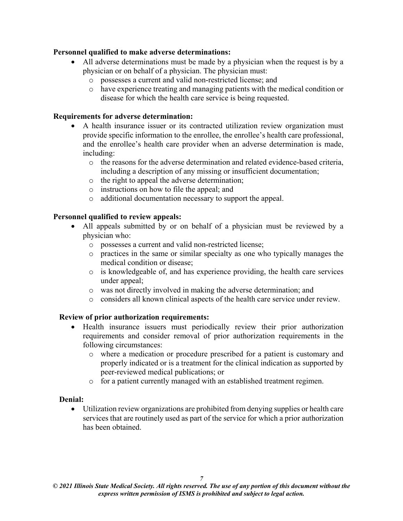#### **Personnel qualified to make adverse determinations:**

- All adverse determinations must be made by a physician when the request is by a physician or on behalf of a physician. The physician must:
	- o possesses a current and valid non-restricted license; and
	- o have experience treating and managing patients with the medical condition or disease for which the health care service is being requested.

#### **Requirements for adverse determination:**

- A health insurance issuer or its contracted utilization review organization must provide specific information to the enrollee, the enrollee's health care professional, and the enrollee's health care provider when an adverse determination is made, including:
	- o the reasons for the adverse determination and related evidence-based criteria, including a description of any missing or insufficient documentation;
	- o the right to appeal the adverse determination;
	- o instructions on how to file the appeal; and
	- o additional documentation necessary to support the appeal.

#### **Personnel qualified to review appeals:**

- All appeals submitted by or on behalf of a physician must be reviewed by a physician who:
	- o possesses a current and valid non-restricted license;
	- o practices in the same or similar specialty as one who typically manages the medical condition or disease;
	- o is knowledgeable of, and has experience providing, the health care services under appeal;
	- o was not directly involved in making the adverse determination; and
	- o considers all known clinical aspects of the health care service under review.

#### **Review of prior authorization requirements:**

- Health insurance issuers must periodically review their prior authorization requirements and consider removal of prior authorization requirements in the following circumstances:
	- o where a medication or procedure prescribed for a patient is customary and properly indicated or is a treatment for the clinical indication as supported by peer-reviewed medical publications; or
	- o for a patient currently managed with an established treatment regimen.

#### **Denial:**

• Utilization review organizations are prohibited from denying supplies or health care services that are routinely used as part of the service for which a prior authorization has been obtained.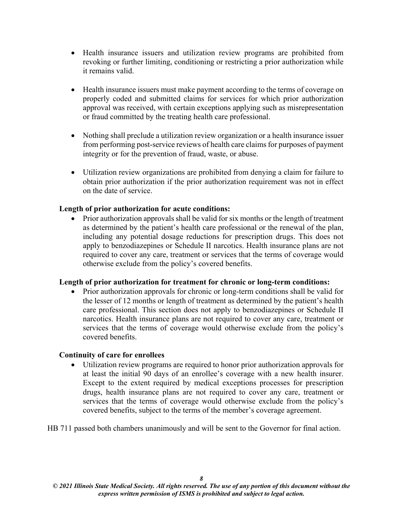- Health insurance issuers and utilization review programs are prohibited from revoking or further limiting, conditioning or restricting a prior authorization while it remains valid.
- Health insurance issuers must make payment according to the terms of coverage on properly coded and submitted claims for services for which prior authorization approval was received, with certain exceptions applying such as misrepresentation or fraud committed by the treating health care professional.
- Nothing shall preclude a utilization review organization or a health insurance issuer from performing post-service reviews of health care claims for purposes of payment integrity or for the prevention of fraud, waste, or abuse.
- Utilization review organizations are prohibited from denying a claim for failure to obtain prior authorization if the prior authorization requirement was not in effect on the date of service.

#### **Length of prior authorization for acute conditions:**

• Prior authorization approvals shall be valid for six months or the length of treatment as determined by the patient's health care professional or the renewal of the plan, including any potential dosage reductions for prescription drugs. This does not apply to benzodiazepines or Schedule II narcotics. Health insurance plans are not required to cover any care, treatment or services that the terms of coverage would otherwise exclude from the policy's covered benefits.

#### **Length of prior authorization for treatment for chronic or long-term conditions:**

• Prior authorization approvals for chronic or long-term conditions shall be valid for the lesser of 12 months or length of treatment as determined by the patient's health care professional. This section does not apply to benzodiazepines or Schedule II narcotics. Health insurance plans are not required to cover any care, treatment or services that the terms of coverage would otherwise exclude from the policy's covered benefits.

#### **Continuity of care for enrollees**

• Utilization review programs are required to honor prior authorization approvals for at least the initial 90 days of an enrollee's coverage with a new health insurer. Except to the extent required by medical exceptions processes for prescription drugs, health insurance plans are not required to cover any care, treatment or services that the terms of coverage would otherwise exclude from the policy's covered benefits, subject to the terms of the member's coverage agreement.

HB 711 passed both chambers unanimously and will be sent to the Governor for final action.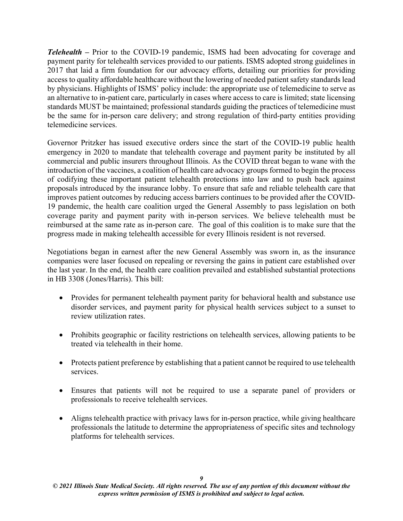<span id="page-9-0"></span>*Telehealth –* Prior to the COVID-19 pandemic, ISMS had been advocating for coverage and payment parity for telehealth services provided to our patients. ISMS adopted strong guidelines in 2017 that laid a firm foundation for our advocacy efforts, detailing our priorities for providing access to quality affordable healthcare without the lowering of needed patient safety standards lead by physicians. Highlights of ISMS' policy include: the appropriate use of telemedicine to serve as an alternative to in-patient care, particularly in cases where access to care is limited; state licensing standards MUST be maintained; professional standards guiding the practices of telemedicine must be the same for in-person care delivery; and strong regulation of third-party entities providing telemedicine services.

Governor Pritzker has issued executive orders since the start of the COVID-19 public health emergency in 2020 to mandate that telehealth coverage and payment parity be instituted by all commercial and public insurers throughout Illinois. As the COVID threat began to wane with the introduction of the vaccines, a coalition of health care advocacy groups formed to begin the process of codifying these important patient telehealth protections into law and to push back against proposals introduced by the insurance lobby. To ensure that safe and reliable telehealth care that improves patient outcomes by reducing access barriers continues to be provided after the COVID-19 pandemic, the health care coalition urged the General Assembly to pass legislation on both coverage parity and payment parity with in-person services. We believe telehealth must be reimbursed at the same rate as in-person care. The goal of this coalition is to make sure that the progress made in making telehealth accessible for every Illinois resident is not reversed.

Negotiations began in earnest after the new General Assembly was sworn in, as the insurance companies were laser focused on repealing or reversing the gains in patient care established over the last year. In the end, the health care coalition prevailed and established substantial protections in HB 3308 (Jones/Harris). This bill:

- Provides for permanent telehealth payment parity for behavioral health and substance use disorder services, and payment parity for physical health services subject to a sunset to review utilization rates.
- Prohibits geographic or facility restrictions on telehealth services, allowing patients to be treated via telehealth in their home.
- Protects patient preference by establishing that a patient cannot be required to use telehealth services.
- Ensures that patients will not be required to use a separate panel of providers or professionals to receive telehealth services.
- Aligns telehealth practice with privacy laws for in-person practice, while giving healthcare professionals the latitude to determine the appropriateness of specific sites and technology platforms for telehealth services.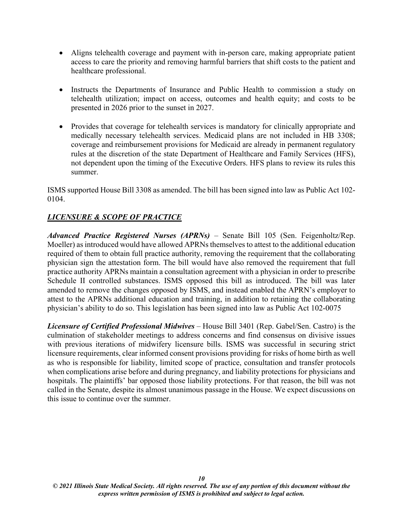- Aligns telehealth coverage and payment with in-person care, making appropriate patient access to care the priority and removing harmful barriers that shift costs to the patient and healthcare professional.
- Instructs the Departments of Insurance and Public Health to commission a study on telehealth utilization; impact on access, outcomes and health equity; and costs to be presented in 2026 prior to the sunset in 2027.
- Provides that coverage for telehealth services is mandatory for clinically appropriate and medically necessary telehealth services. Medicaid plans are not included in HB 3308; coverage and reimbursement provisions for Medicaid are already in permanent regulatory rules at the discretion of the state Department of Healthcare and Family Services (HFS), not dependent upon the timing of the Executive Orders. HFS plans to review its rules this summer.

ISMS supported House Bill 3308 as amended. The bill has been signed into law as Public Act 102- 0104.

# <span id="page-10-1"></span><span id="page-10-0"></span>*LICENSURE & SCOPE OF PRACTICE*

*Advanced Practice Registered Nurses (APRNs)* – Senate Bill 105 (Sen. Feigenholtz/Rep. Moeller) as introduced would have allowed APRNs themselves to attest to the additional education required of them to obtain full practice authority, removing the requirement that the collaborating physician sign the attestation form. The bill would have also removed the requirement that full practice authority APRNs maintain a consultation agreement with a physician in order to prescribe Schedule II controlled substances. ISMS opposed this bill as introduced. The bill was later amended to remove the changes opposed by ISMS, and instead enabled the APRN's employer to attest to the APRNs additional education and training, in addition to retaining the collaborating physician's ability to do so. This legislation has been signed into law as Public Act 102-0075

<span id="page-10-2"></span>*Licensure of Certified Professional Midwives* – House Bill 3401 (Rep. Gabel/Sen. Castro) is the culmination of stakeholder meetings to address concerns and find consensus on divisive issues with previous iterations of midwifery licensure bills. ISMS was successful in securing strict licensure requirements, clear informed consent provisions providing for risks of home birth as well as who is responsible for liability, limited scope of practice, consultation and transfer protocols when complications arise before and during pregnancy, and liability protections for physicians and hospitals. The plaintiffs' bar opposed those liability protections. For that reason, the bill was not called in the Senate, despite its almost unanimous passage in the House. We expect discussions on this issue to continue over the summer.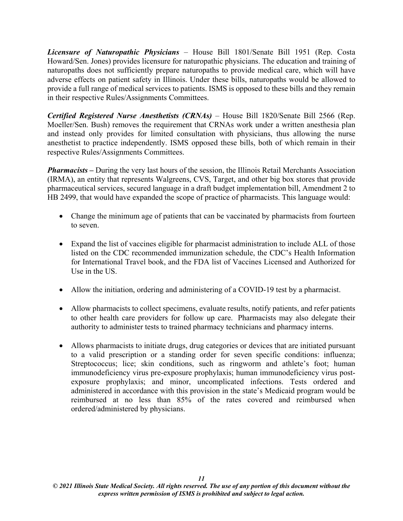<span id="page-11-0"></span>*Licensure of Naturopathic Physicians* – House Bill 1801/Senate Bill 1951 (Rep. Costa Howard/Sen. Jones) provides licensure for naturopathic physicians. The education and training of naturopaths does not sufficiently prepare naturopaths to provide medical care, which will have adverse effects on patient safety in Illinois. Under these bills, naturopaths would be allowed to provide a full range of medical services to patients. ISMS is opposed to these bills and they remain in their respective Rules/Assignments Committees.

<span id="page-11-1"></span>*Certified Registered Nurse Anesthetists (CRNAs)* – House Bill 1820/Senate Bill 2566 (Rep. Moeller/Sen. Bush) removes the requirement that CRNAs work under a written anesthesia plan and instead only provides for limited consultation with physicians, thus allowing the nurse anesthetist to practice independently. ISMS opposed these bills, both of which remain in their respective Rules/Assignments Committees.

<span id="page-11-2"></span>*Pharmacists –* During the very last hours of the session, the Illinois Retail Merchants Association (IRMA), an entity that represents Walgreens, CVS, Target, and other big box stores that provide pharmaceutical services, secured language in a draft budget implementation bill, Amendment 2 to HB 2499, that would have expanded the scope of practice of pharmacists. This language would:

- Change the minimum age of patients that can be vaccinated by pharmacists from fourteen to seven.
- Expand the list of vaccines eligible for pharmacist administration to include ALL of those listed on the CDC recommended immunization schedule, the CDC's Health Information for International Travel book, and the FDA list of Vaccines Licensed and Authorized for Use in the US.
- Allow the initiation, ordering and administering of a COVID-19 test by a pharmacist.
- Allow pharmacists to collect specimens, evaluate results, notify patients, and refer patients to other health care providers for follow up care. Pharmacists may also delegate their authority to administer tests to trained pharmacy technicians and pharmacy interns.
- Allows pharmacists to initiate drugs, drug categories or devices that are initiated pursuant to a valid prescription or a standing order for seven specific conditions: influenza; Streptococcus; lice; skin conditions, such as ringworm and athlete's foot; human immunodeficiency virus pre-exposure prophylaxis; human immunodeficiency virus postexposure prophylaxis; and minor, uncomplicated infections. Tests ordered and administered in accordance with this provision in the state's Medicaid program would be reimbursed at no less than 85% of the rates covered and reimbursed when ordered/administered by physicians.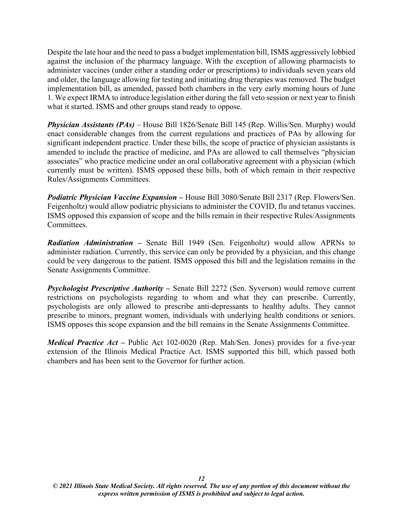Despite the late hour and the need to pass a budget implementation bill, ISMS aggressively lobbied against the inclusion of the pharmacy language. With the exception of allowing pharmacists to administer vaccines (under either a standing order or prescriptions) to individuals seven years old and older, the language allowing for testing and initiating drug therapies was removed. The budget implementation bill, as amended, passed both chambers in the very early morning hours of June 1. We expect IRMA to introduce legislation either during the fall veto session or next year to finish what it started. ISMS and other groups stand ready to oppose.

<span id="page-12-0"></span>*Physician Assistants (PAs)* – House Bill 1826/Senate Bill 145 (Rep. Willis/Sen. Murphy) would enact considerable changes from the current regulations and practices of PAs by allowing for significant independent practice. Under these bills, the scope of practice of physician assistants is amended to include the practice of medicine, and PAs are allowed to call themselves "physician associates" who practice medicine under an oral collaborative agreement with a physician (which currently must be written). ISMS opposed these bills, both of which remain in their respective Rules/Assignments Committees.

<span id="page-12-1"></span>*Podiatric Physician Vaccine Expansion* **–** House Bill 3080/Senate Bill 2317 (Rep. Flowers/Sen. Feigenholtz) would allow podiatric physicians to administer the COVID, flu and tetanus vaccines. ISMS opposed this expansion of scope and the bills remain in their respective Rules/Assignments Committees.

<span id="page-12-2"></span>*Radiation Administration* **–** Senate Bill 1949 (Sen. Feigenholtz) would allow APRNs to administer radiation. Currently, this service can only be provided by a physician, and this change could be very dangerous to the patient. ISMS opposed this bill and the legislation remains in the Senate Assignments Committee.

<span id="page-12-3"></span>*Psychologist Prescriptive Authority* **–** Senate Bill 2272 (Sen. Syverson) would remove current restrictions on psychologists regarding to whom and what they can prescribe. Currently, psychologists are only allowed to prescribe anti-depressants to healthy adults. They cannot prescribe to minors, pregnant women, individuals with underlying health conditions or seniors. ISMS opposes this scope expansion and the bill remains in the Senate Assignments Committee.

<span id="page-12-4"></span>*Medical Practice Act* – Public Act 102-0020 (Rep. Mah/Sen. Jones) provides for a five-year extension of the Illinois Medical Practice Act. ISMS supported this bill, which passed both chambers and has been sent to the Governor for further action.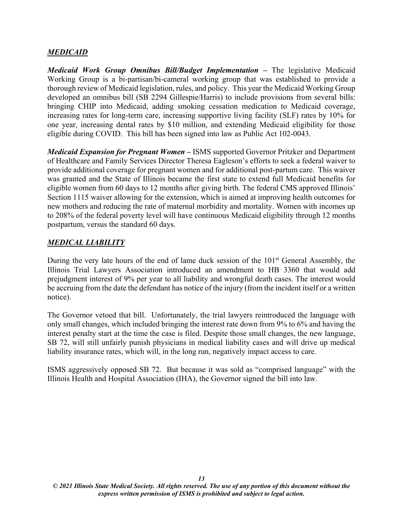#### <span id="page-13-0"></span>*MEDICAID*

<span id="page-13-1"></span>*Medicaid Work Group Omnibus Bill/Budget Implementation* **–** The legislative Medicaid Working Group is a bi-partisan/bi-cameral working group that was established to provide a thorough review of Medicaid legislation, rules, and policy. This year the Medicaid Working Group developed an omnibus bill (SB 2294 Gillespie/Harris) to include provisions from several bills: bringing CHIP into Medicaid, adding smoking cessation medication to Medicaid coverage, increasing rates for long-term care, increasing supportive living facility (SLF) rates by 10% for one year, increasing dental rates by \$10 million, and extending Medicaid eligibility for those eligible during COVID. This bill has been signed into law as Public Act 102-0043.

<span id="page-13-2"></span>*Medicaid Expansion for Pregnant Women –* ISMS supported Governor Pritzker and Department of Healthcare and Family Services Director Theresa Eagleson's efforts to seek a federal waiver to provide additional coverage for pregnant women and for additional post-partum care. This waiver was granted and the State of Illinois became the first state to extend full Medicaid benefits for eligible women from 60 days to 12 months after giving birth. The federal CMS approved Illinois' Section 1115 waiver allowing for the extension, which is aimed at improving health outcomes for new mothers and reducing the rate of maternal morbidity and mortality. Women with incomes up to 208% of the federal poverty level will have continuous Medicaid eligibility through 12 months postpartum, versus the standard 60 days.

### <span id="page-13-3"></span>*MEDICAL LIABILITY*

During the very late hours of the end of lame duck session of the  $101<sup>st</sup>$  General Assembly, the Illinois Trial Lawyers Association introduced an amendment to HB 3360 that would add prejudgment interest of 9% per year to all liability and wrongful death cases. The interest would be accruing from the date the defendant has notice of the injury (from the incident itself or a written notice).

The Governor vetoed that bill. Unfortunately, the trial lawyers reintroduced the language with only small changes, which included bringing the interest rate down from 9% to 6% and having the interest penalty start at the time the case is filed. Despite those small changes, the new language, SB 72, will still unfairly punish physicians in medical liability cases and will drive up medical liability insurance rates, which will, in the long run, negatively impact access to care.

ISMS aggressively opposed SB 72. But because it was sold as "comprised language" with the Illinois Health and Hospital Association (IHA), the Governor signed the bill into law.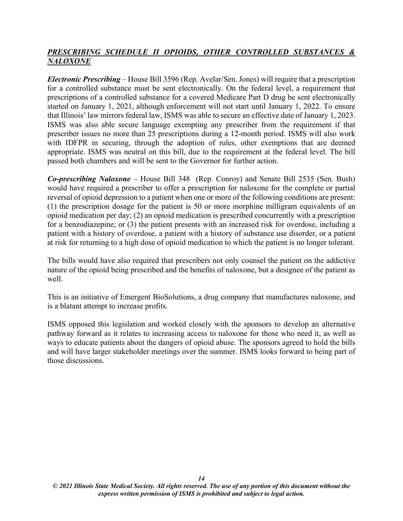# <span id="page-14-0"></span>*PRESCRIBING SCHEDULE II OPIOIDS, OTHER CONTROLLED SUBSTANCES & NALOXONE*

<span id="page-14-1"></span>*Electronic Prescribing* – House Bill 3596 (Rep. Avelar/Sen. Jones) will require that a prescription for a controlled substance must be sent electronically. On the federal level, a requirement that prescriptions of a controlled substance for a covered Medicare Part D drug be sent electronically started on January 1, 2021, although enforcement will not start until January 1, 2022. To ensure that Illinois' law mirrors federal law, ISMS was able to secure an effective date of January 1, 2023. ISMS was also able secure language exempting any prescriber from the requirement if that prescriber issues no more than 25 prescriptions during a 12-month period. ISMS will also work with IDFPR in securing, through the adoption of rules, other exemptions that are deemed appropriate. ISMS was neutral on this bill, due to the requirement at the federal level. The bill passed both chambers and will be sent to the Governor for further action.

<span id="page-14-2"></span>*Co-prescribing Naloxone* – House Bill 348 (Rep. Conroy) and Senate Bill 2535 (Sen. Bush) would have required a prescriber to offer a prescription for naloxone for the complete or partial reversal of opioid depression to a patient when one or more of the following conditions are present: (1) the prescription dosage for the patient is 50 or more morphine milligram equivalents of an opioid medication per day; (2) an opioid medication is prescribed concurrently with a prescription for a benzodiazepine; or (3) the patient presents with an increased risk for overdose, including a patient with a history of overdose, a patient with a history of substance use disorder, or a patient at risk for returning to a high dose of opioid medication to which the patient is no longer tolerant.

The bills would have also required that prescribers not only counsel the patient on the addictive nature of the opioid being prescribed and the benefits of naloxone, but a designee of the patient as well.

This is an initiative of Emergent BioSolutions, a drug company that manufactures naloxone, and is a blatant attempt to increase profits.

ISMS opposed this legislation and worked closely with the sponsors to develop an alternative pathway forward as it relates to increasing access to naloxone for those who need it, as well as ways to educate patients about the dangers of opioid abuse. The sponsors agreed to hold the bills and will have larger stakeholder meetings over the summer. ISMS looks forward to being part of those discussions.